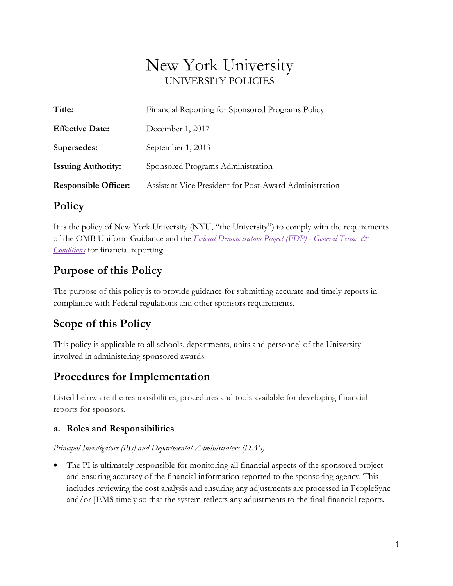# New York University UNIVERSITY POLICIES

| Title:                      | Financial Reporting for Sponsored Programs Policy      |
|-----------------------------|--------------------------------------------------------|
| <b>Effective Date:</b>      | December 1, 2017                                       |
| Supersedes:                 | September 1, 2013                                      |
| <b>Issuing Authority:</b>   | Sponsored Programs Administration                      |
| <b>Responsible Officer:</b> | Assistant Vice President for Post-Award Administration |

### **Policy**

It is the policy of New York University (NYU, "the University") to comply with the requirements of the OMB Uniform Guidance and the *[Federal Demonstration Project \(FDP\) -](https://www.nsf.gov/pubs/fdp/fdp405.pdf) General Terms & [Conditions](https://www.nsf.gov/pubs/fdp/fdp405.pdf)* for financial reporting.

### **Purpose of this Policy**

The purpose of this policy is to provide guidance for submitting accurate and timely reports in compliance with Federal regulations and other sponsors requirements.

### **Scope of this Policy**

This policy is applicable to all schools, departments, units and personnel of the University involved in administering sponsored awards.

### **Procedures for Implementation**

Listed below are the responsibilities, procedures and tools available for developing financial reports for sponsors.

#### **a. Roles and Responsibilities**

*Principal Investigators (PIs) and Departmental Administrators (DA's)*

• The PI is ultimately responsible for monitoring all financial aspects of the sponsored project and ensuring accuracy of the financial information reported to the sponsoring agency. This includes reviewing the cost analysis and ensuring any adjustments are processed in PeopleSync and/or JEMS timely so that the system reflects any adjustments to the final financial reports.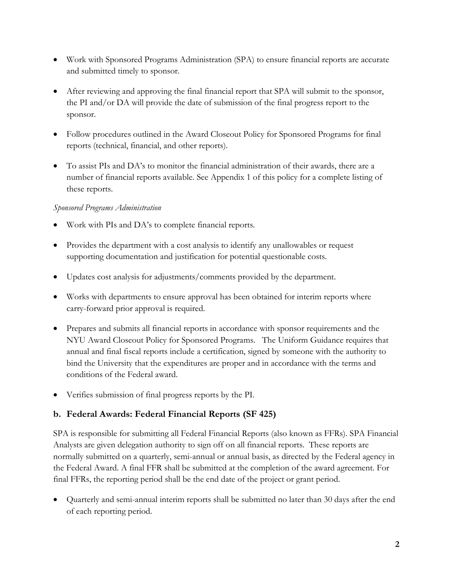- Work with Sponsored Programs Administration (SPA) to ensure financial reports are accurate and submitted timely to sponsor.
- After reviewing and approving the final financial report that SPA will submit to the sponsor, the PI and/or DA will provide the date of submission of the final progress report to the sponsor.
- Follow procedures outlined in the Award Closeout Policy for Sponsored Programs for final reports (technical, financial, and other reports).
- To assist PIs and DA's to monitor the financial administration of their awards, there are a number of financial reports available. See Appendix 1 of this policy for a complete listing of these reports.

#### *Sponsored Programs Administration*

- Work with PIs and DA's to complete financial reports.
- Provides the department with a cost analysis to identify any unallowables or request supporting documentation and justification for potential questionable costs.
- Updates cost analysis for adjustments/comments provided by the department.
- Works with departments to ensure approval has been obtained for interim reports where carry-forward prior approval is required.
- Prepares and submits all financial reports in accordance with sponsor requirements and the NYU Award Closeout Policy for Sponsored Programs. The Uniform Guidance requires that annual and final fiscal reports include a certification, signed by someone with the authority to bind the University that the expenditures are proper and in accordance with the terms and conditions of the Federal award.
- Verifies submission of final progress reports by the PI.

#### **b. Federal Awards: Federal Financial Reports (SF 425)**

SPA is responsible for submitting all Federal Financial Reports (also known as FFRs). SPA Financial Analysts are given delegation authority to sign off on all financial reports. These reports are normally submitted on a quarterly, semi-annual or annual basis, as directed by the Federal agency in the Federal Award. A final FFR shall be submitted at the completion of the award agreement. For final FFRs, the reporting period shall be the end date of the project or grant period.

• Quarterly and semi-annual interim reports shall be submitted no later than 30 days after the end of each reporting period.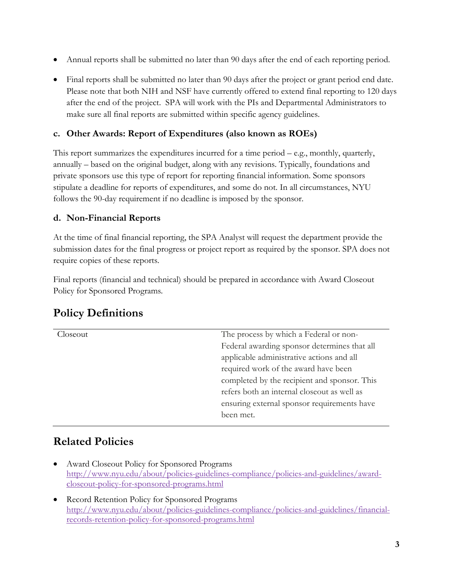- Annual reports shall be submitted no later than 90 days after the end of each reporting period.
- Final reports shall be submitted no later than 90 days after the project or grant period end date. Please note that both NIH and NSF have currently offered to extend final reporting to 120 days after the end of the project. SPA will work with the PIs and Departmental Administrators to make sure all final reports are submitted within specific agency guidelines.

#### **c. Other Awards: Report of Expenditures (also known as ROEs)**

This report summarizes the expenditures incurred for a time period – e.g., monthly, quarterly, annually – based on the original budget, along with any revisions. Typically, foundations and private sponsors use this type of report for reporting financial information. Some sponsors stipulate a deadline for reports of expenditures, and some do not. In all circumstances, NYU follows the 90-day requirement if no deadline is imposed by the sponsor.

#### **d. Non-Financial Reports**

At the time of final financial reporting, the SPA Analyst will request the department provide the submission dates for the final progress or project report as required by the sponsor. SPA does not require copies of these reports.

Final reports (financial and technical) should be prepared in accordance with Award Closeout Policy for Sponsored Programs*.*

### **Policy Definitions**

| Closeout | The process by which a Federal or non-       |
|----------|----------------------------------------------|
|          | Federal awarding sponsor determines that all |
|          | applicable administrative actions and all    |
|          | required work of the award have been         |
|          | completed by the recipient and sponsor. This |
|          | refers both an internal closeout as well as  |
|          | ensuring external sponsor requirements have  |
|          | been met.                                    |
|          |                                              |

### **Related Policies**

- Award Closeout Policy for Sponsored Programs [http://www.nyu.edu/about/policies-guidelines-compliance/policies-and-guidelines/award](http://www.nyu.edu/about/policies-guidelines-compliance/policies-and-guidelines/award-closeout-policy-for-sponsored-programs.html)[closeout-policy-for-sponsored-programs.html](http://www.nyu.edu/about/policies-guidelines-compliance/policies-and-guidelines/award-closeout-policy-for-sponsored-programs.html)
- **Record Retention Policy for Sponsored Programs** [http://www.nyu.edu/about/policies-guidelines-compliance/policies-and-guidelines/financial](http://www.nyu.edu/about/policies-guidelines-compliance/policies-and-guidelines/financial-records-retention-policy-for-sponsored-programs.html)[records-retention-policy-for-sponsored-programs.html](http://www.nyu.edu/about/policies-guidelines-compliance/policies-and-guidelines/financial-records-retention-policy-for-sponsored-programs.html)